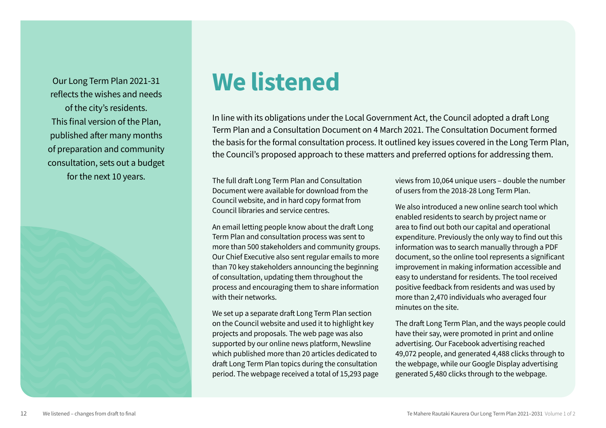Our Long Term Plan 2021-31 reflects the wishes and needs of the city's residents. This final version of the Plan, published after many months of preparation and community consultation, sets out a budget for the next 10 years.



# We listened

In line with its obligations under the Local Government Act, the Council adopted a draft Long Term Plan and a Consultation Document on 4 March 2021. The Consultation Document formed the basis for the formal consultation process. It outlined key issues covered in the Long Term Plan, the Council's proposed approach to these matters and preferred options for addressing them.

The full draft Long Term Plan and Consultation Document were available for download from the Council website, and in hard copy format from Council libraries and service centres.

An email letting people know about the draft Long Term Plan and consultation process was sent to more than 500 stakeholders and community groups. Our Chief Executive also sent regular emails to more than 70 key stakeholders announcing the beginning of consultation, updating them throughout the process and encouraging them to share information with their networks.

We set up a separate draft Long Term Plan section on the Council website and used it to highlight key projects and proposals. The web page was also supported by our online news platform, Newsline which published more than 20 articles dedicated to draft Long Term Plan topics during the consultation period. The webpage received a total of 15,293 page views from 10,064 unique users – double the number of users from the 2018-28 Long Term Plan.

We also introduced a new online search tool which enabled residents to search by project name or area to find out both our capital and operational expenditure. Previously the only way to find out this information was to search manually through a PDF document, so the online tool represents a significant improvement in making information accessible and easy to understand for residents. The tool received positive feedback from residents and was used by more than 2,470 individuals who averaged four minutes on the site.

The draft Long Term Plan, and the ways people could have their say, were promoted in print and online advertising. Our Facebook advertising reached 49,072 people, and generated 4,488 clicks through to the webpage, while our Google Display advertising generated 5,480 clicks through to the webpage.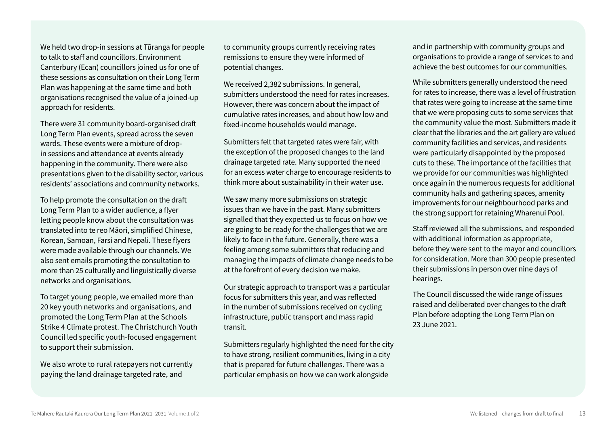We held two drop-in sessions at Tūranga for people to talk to staff and councillors. Environment Canterbury (Ecan) councillors joined us for one of these sessions as consultation on their Long Term Plan was happening at the same time and both organisations recognised the value of a joined-up approach for residents.

There were 31 community board-organised draft Long Term Plan events, spread across the seven wards. These events were a mixture of dropin sessions and attendance at events already happening in the community. There were also presentations given to the disability sector, various residents' associations and community networks.

To help promote the consultation on the draft Long Term Plan to a wider audience, a flyer letting people know about the consultation was translated into te reo Māori, simplified Chinese, Korean, Samoan, Farsi and Nepali. These flyers were made available through our channels. We also sent emails promoting the consultation to more than 25 culturally and linguistically diverse networks and organisations.

To target young people, we emailed more than 20 key youth networks and organisations, and promoted the Long Term Plan at the Schools Strike 4 Climate protest. The Christchurch Youth Council led specific youth-focused engagement to support their submission.

We also wrote to rural ratepayers not currently paying the land drainage targeted rate, and

to community groups currently receiving rates remissions to ensure they were informed of potential changes.

We received 2,382 submissions. In general, submitters understood the need for rates increases. However, there was concern about the impact of cumulative rates increases, and about how low and fixed-income households would manage.

Submitters felt that targeted rates were fair, with the exception of the proposed changes to the land drainage targeted rate. Many supported the need for an excess water charge to encourage residents to think more about sustainability in their water use.

We saw many more submissions on strategic issues than we have in the past. Many submitters signalled that they expected us to focus on how we are going to be ready for the challenges that we are likely to face in the future. Generally, there was a feeling among some submitters that reducing and managing the impacts of climate change needs to be at the forefront of every decision we make.

Our strategic approach to transport was a particular focus for submitters this year, and was reflected in the number of submissions received on cycling infrastructure, public transport and mass rapid transit.

Submitters regularly highlighted the need for the city to have strong, resilient communities, living in a city that is prepared for future challenges. There was a particular emphasis on how we can work alongside

and in partnership with community groups and organisations to provide a range of services to and achieve the best outcomes for our communities.

While submitters generally understood the need for rates to increase, there was a level of frustration that rates were going to increase at the same time that we were proposing cuts to some services that the community value the most. Submitters made it clear that the libraries and the art gallery are valued community facilities and services, and residents were particularly disappointed by the proposed cuts to these. The importance of the facilities that we provide for our communities was highlighted once again in the numerous requests for additional community halls and gathering spaces, amenity improvements for our neighbourhood parks and the strong support for retaining Wharenui Pool.

Staff reviewed all the submissions, and responded with additional information as appropriate, before they were sent to the mayor and councillors for consideration. More than 300 people presented their submissions in person over nine days of hearings.

The Council discussed the wide range of issues raised and deliberated over changes to the draft Plan before adopting the Long Term Plan on 23 June 2021.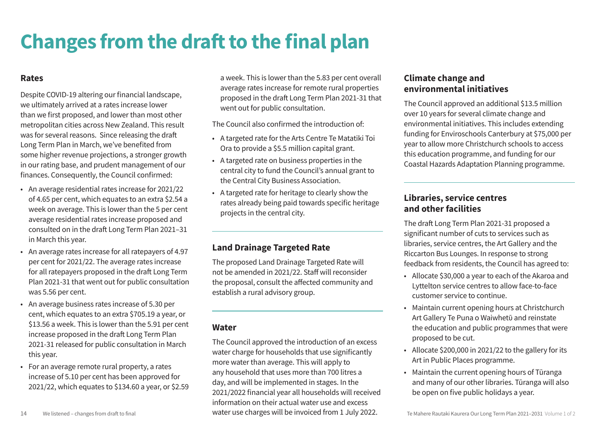## **Changes from the draft to the final plan**

#### **Rates**

Despite COVID-19 altering our financial landscape, we ultimately arrived at a rates increase lower than we first proposed, and lower than most other metropolitan cities across New Zealand. This result was for several reasons. Since releasing the draft Long Term Plan in March, we've benefited from some higher revenue projections, a stronger growth in our rating base, and prudent management of our finances. Consequently, the Council confirmed:

- An average residential rates increase for 2021/22 of 4.65 per cent, which equates to an extra \$2.54 a week on average. This is lower than the 5 per cent average residential rates increase proposed and consulted on in the draft Long Term Plan 2021–31 in March this year.
- An average rates increase for all ratepayers of 4.97 per cent for 2021/22. The average rates increase for all ratepayers proposed in the draft Long Term Plan 2021-31 that went out for public consultation was 5.56 per cent.
- An average business rates increase of 5.30 per cent, which equates to an extra \$705.19 a year, or \$13.56 a week. This is lower than the 5.91 per cent increase proposed in the draft Long Term Plan 2021-31 released for public consultation in March this year.
- For an average remote rural property, a rates increase of 5.10 per cent has been approved for 2021/22, which equates to \$134.60 a year, or \$2.59

a week. This is lower than the 5.83 per cent overall average rates increase for remote rural properties proposed in the draft Long Term Plan 2021-31 that went out for public consultation.

The Council also confirmed the introduction of:

- A targeted rate for the Arts Centre Te Matatiki Toi Ora to provide a \$5.5 million capital grant.
- A targeted rate on business properties in the central city to fund the Council's annual grant to the Central City Business Association.
- A targeted rate for heritage to clearly show the rates already being paid towards specific heritage projects in the central city.

#### **Land Drainage Targeted Rate**

The proposed Land Drainage Targeted Rate will not be amended in 2021/22. Staff will reconsider the proposal, consult the affected community and establish a rural advisory group.

#### **Water**

14 We listened – changes from draft to final **Texas Charges will be invoiced from 1 July 2022.** Te Mahere Rautaki Kaurera Our Long Term Plan 2021–2031 Volume 1 of 2 The Council approved the introduction of an excess water charge for households that use significantly more water than average. This will apply to any household that uses more than 700 litres a day, and will be implemented in stages. In the 2021/2022 financial year all households will received information on their actual water use and excess water use charges will be invoiced from 1 July 2022.

### **Climate change and environmental initiatives**

The Council approved an additional \$13.5 million over 10 years for several climate change and environmental initiatives. This includes extending funding for Enviroschools Canterbury at \$75,000 per year to allow more Christchurch schools to access this education programme, and funding for our Coastal Hazards Adaptation Planning programme.

#### **Libraries, service centres and other facilities**

The draft Long Term Plan 2021-31 proposed a significant number of cuts to services such as libraries, service centres, the Art Gallery and the Riccarton Bus Lounges. In response to strong feedback from residents, the Council has agreed to:

- Allocate \$30,000 a year to each of the Akaroa and Lyttelton service centres to allow face-to-face customer service to continue.
- Maintain current opening hours at Christchurch Art Gallery Te Puna o Waiwhetū and reinstate the education and public programmes that were proposed to be cut.
- Allocate \$200,000 in 2021/22 to the gallery for its Art in Public Places programme.
- Maintain the current opening hours of Tūranga and many of our other libraries. Tūranga will also be open on five public holidays a year.